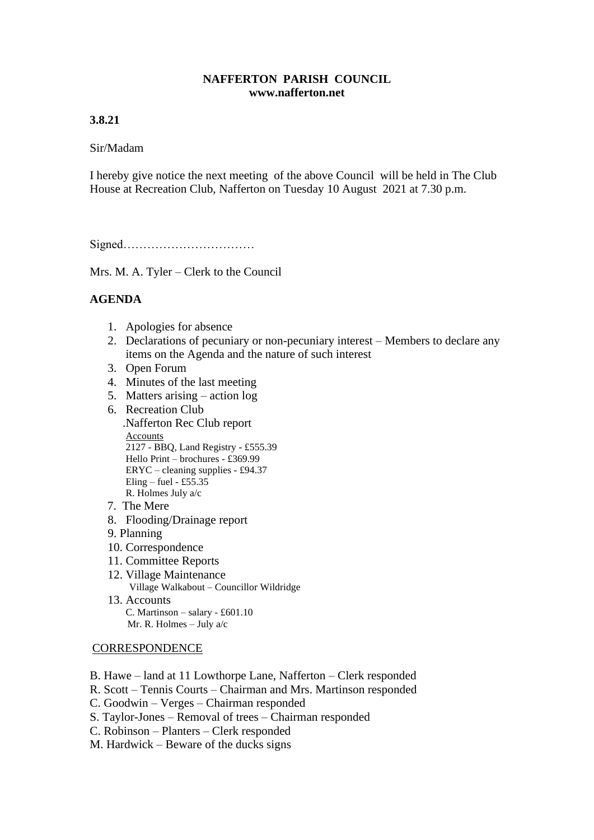## **NAFFERTON PARISH COUNCIL www.nafferton.net**

## **3.8.21**

### Sir/Madam

I hereby give notice the next meeting of the above Council will be held in The Club House at Recreation Club, Nafferton on Tuesday 10 August 2021 at 7.30 p.m.

Signed……………………………

Mrs. M. A. Tyler – Clerk to the Council

# **AGENDA**

- 1. Apologies for absence
- 2. Declarations of pecuniary or non-pecuniary interest Members to declare any items on the Agenda and the nature of such interest
- 3. Open Forum
- 4. Minutes of the last meeting
- 5. Matters arising action log
- 6. Recreation Club .Nafferton Rec Club report Accounts 2127 - BBQ, Land Registry - £555.39 Hello Print – brochures - £369.99 ERYC – cleaning supplies - £94.37 Eling – fuel - £55.35 R. Holmes July a/c
- 7. The Mere
- 8. Flooding/Drainage report
- 9. Planning
- 10. Correspondence
- 11. Committee Reports
- 12. Village Maintenance Village Walkabout – Councillor Wildridge 13. Accounts
	- C. Martinson salary £601.10 Mr. R. Holmes – July a/c

#### **CORRESPONDENCE**

- B. Hawe land at 11 Lowthorpe Lane, Nafferton Clerk responded
- R. Scott Tennis Courts Chairman and Mrs. Martinson responded
- C. Goodwin Verges Chairman responded
- S. Taylor-Jones Removal of trees Chairman responded
- C. Robinson Planters Clerk responded
- M. Hardwick Beware of the ducks signs